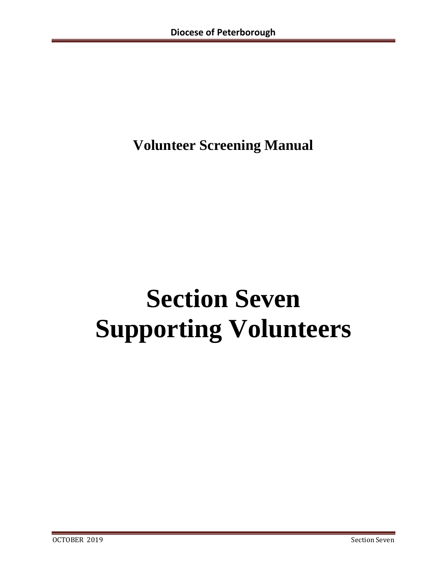# **Volunteer Screening Manual**

# **Section Seven Supporting Volunteers**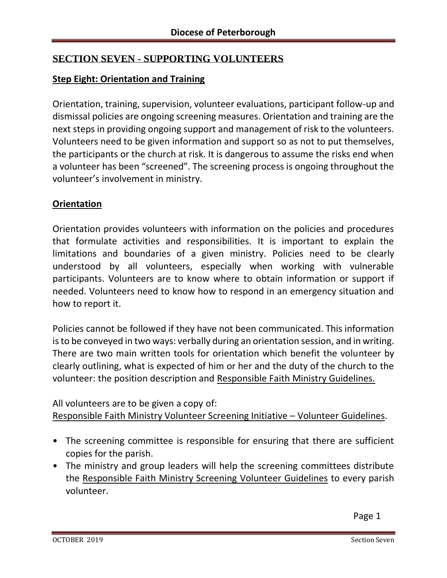# **SECTION SEVEN - SUPPORTING VOLUNTEERS**

# **Step Eight: Orientation and Training**

Orientation, training, supervision, volunteer evaluations, participant follow-up and dismissal policies are ongoing screening measures. Orientation and training are the next steps in providing ongoing support and management of risk to the volunteers. Volunteers need to be given information and support so as not to put themselves, the participants or the church at risk. It is dangerous to assume the risks end when a volunteer has been "screened". The screening process is ongoing throughout the volunteer's involvement in ministry.

# **Orientation**

Orientation provides volunteers with information on the policies and procedures that formulate activities and responsibilities. It is important to explain the limitations and boundaries of a given ministry. Policies need to be clearly understood by all volunteers, especially when working with vulnerable participants. Volunteers are to know where to obtain information or support if needed. Volunteers need to know how to respond in an emergency situation and how to report it.

Policies cannot be followed if they have not been communicated. This information is to be conveyed in two ways: verbally during an orientation session, and in writing. There are two main written tools for orientation which benefit the volunteer by clearly outlining, what is expected of him or her and the duty of the church to the volunteer: the position description and Responsible Faith Ministry Guidelines.

All volunteers are to be given a copy of:

Responsible Faith Ministry Volunteer Screening Initiative – Volunteer Guidelines.

- The screening committee is responsible for ensuring that there are sufficient copies for the parish.
- The ministry and group leaders will help the screening committees distribute the Responsible Faith Ministry Screening Volunteer Guidelines to every parish volunteer.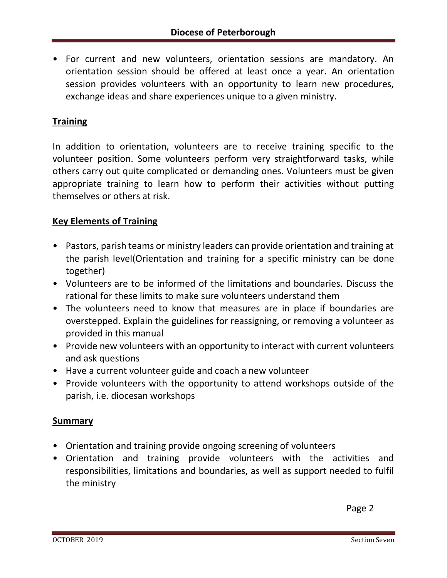• For current and new volunteers, orientation sessions are mandatory. An orientation session should be offered at least once a year. An orientation session provides volunteers with an opportunity to learn new procedures, exchange ideas and share experiences unique to a given ministry.

# **Training**

In addition to orientation, volunteers are to receive training specific to the volunteer position. Some volunteers perform very straightforward tasks, while others carry out quite complicated or demanding ones. Volunteers must be given appropriate training to learn how to perform their activities without putting themselves or others at risk.

#### **Key Elements of Training**

- Pastors, parish teams or ministry leaders can provide orientation and training at the parish level(Orientation and training for a specific ministry can be done together)
- Volunteers are to be informed of the limitations and boundaries. Discuss the rational for these limits to make sure volunteers understand them
- The volunteers need to know that measures are in place if boundaries are overstepped. Explain the guidelines for reassigning, or removing a volunteer as provided in this manual
- Provide new volunteers with an opportunity to interact with current volunteers and ask questions
- Have a current volunteer guide and coach a new volunteer
- Provide volunteers with the opportunity to attend workshops outside of the parish, i.e. diocesan workshops

#### **Summary**

- Orientation and training provide ongoing screening of volunteers
- Orientation and training provide volunteers with the activities and responsibilities, limitations and boundaries, as well as support needed to fulfil the ministry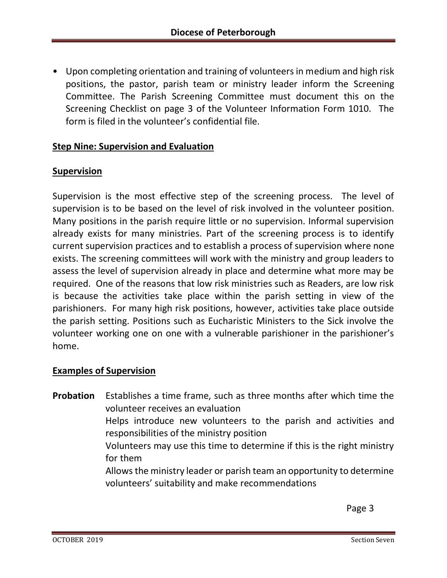• Upon completing orientation and training of volunteers in medium and high risk positions, the pastor, parish team or ministry leader inform the Screening Committee. The Parish Screening Committee must document this on the Screening Checklist on page 3 of the Volunteer Information Form 1010. The form is filed in the volunteer's confidential file.

#### **Step Nine: Supervision and Evaluation**

#### **Supervision**

Supervision is the most effective step of the screening process. The level of supervision is to be based on the level of risk involved in the volunteer position. Many positions in the parish require little or no supervision. Informal supervision already exists for many ministries. Part of the screening process is to identify current supervision practices and to establish a process of supervision where none exists. The screening committees will work with the ministry and group leaders to assess the level of supervision already in place and determine what more may be required. One of the reasons that low risk ministries such as Readers, are low risk is because the activities take place within the parish setting in view of the parishioners. For many high risk positions, however, activities take place outside the parish setting. Positions such as Eucharistic Ministers to the Sick involve the volunteer working one on one with a vulnerable parishioner in the parishioner's home.

#### **Examples of Supervision**

**Probation** Establishes a time frame, such as three months after which time the volunteer receives an evaluation Helps introduce new volunteers to the parish and activities and responsibilities of the ministry position Volunteers may use this time to determine if this is the right ministry for them Allows the ministry leader or parish team an opportunity to determine volunteers' suitability and make recommendations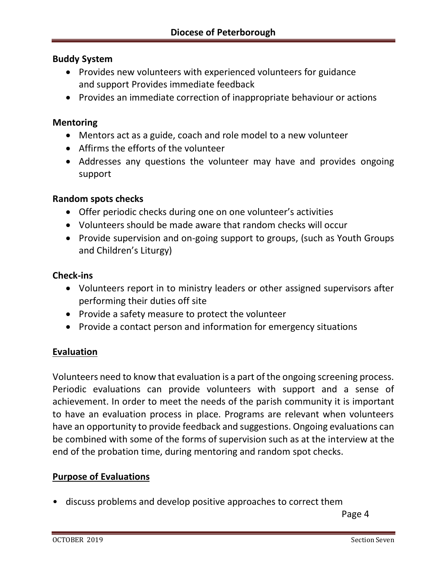#### **Buddy System**

- Provides new volunteers with experienced volunteers for guidance and support Provides immediate feedback
- Provides an immediate correction of inappropriate behaviour or actions

#### **Mentoring**

- Mentors act as a guide, coach and role model to a new volunteer
- Affirms the efforts of the volunteer
- Addresses any questions the volunteer may have and provides ongoing support

#### **Random spots checks**

- Offer periodic checks during one on one volunteer's activities
- Volunteers should be made aware that random checks will occur
- Provide supervision and on-going support to groups, (such as Youth Groups and Children's Liturgy)

#### **Check-ins**

- Volunteers report in to ministry leaders or other assigned supervisors after performing their duties off site
- Provide a safety measure to protect the volunteer
- Provide a contact person and information for emergency situations

#### **Evaluation**

Volunteers need to know that evaluation is a part of the ongoing screening process. Periodic evaluations can provide volunteers with support and a sense of achievement. In order to meet the needs of the parish community it is important to have an evaluation process in place. Programs are relevant when volunteers have an opportunity to provide feedback and suggestions. Ongoing evaluations can be combined with some of the forms of supervision such as at the interview at the end of the probation time, during mentoring and random spot checks.

#### **Purpose of Evaluations**

• discuss problems and develop positive approaches to correct them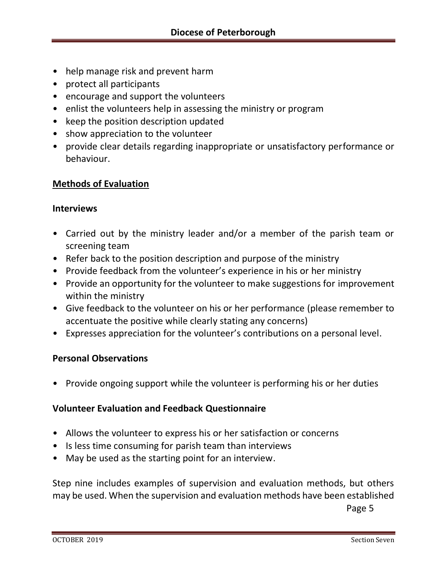- help manage risk and prevent harm
- protect all participants
- encourage and support the volunteers
- enlist the volunteers help in assessing the ministry or program
- keep the position description updated
- show appreciation to the volunteer
- provide clear details regarding inappropriate or unsatisfactory performance or behaviour.

# **Methods of Evaluation**

#### **Interviews**

- Carried out by the ministry leader and/or a member of the parish team or screening team
- Refer back to the position description and purpose of the ministry
- Provide feedback from the volunteer's experience in his or her ministry
- Provide an opportunity for the volunteer to make suggestions for improvement within the ministry
- Give feedback to the volunteer on his or her performance (please remember to accentuate the positive while clearly stating any concerns)
- Expresses appreciation for the volunteer's contributions on a personal level.

# **Personal Observations**

• Provide ongoing support while the volunteer is performing his or her duties

# **Volunteer Evaluation and Feedback Questionnaire**

- Allows the volunteer to express his or her satisfaction or concerns
- Is less time consuming for parish team than interviews
- May be used as the starting point for an interview.

Step nine includes examples of supervision and evaluation methods, but others may be used. When the supervision and evaluation methods have been established **Page 5** Page 5 (1999) and the set of the set of the set of the set of the set of the set of the set of the set of the set of the set of the set of the set of the set of the set of the set of the set of the set of the set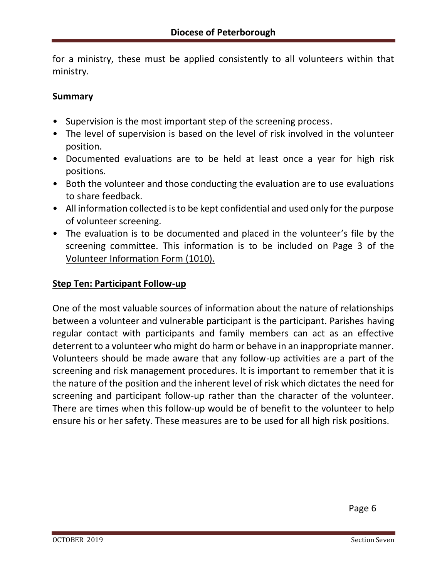for a ministry, these must be applied consistently to all volunteers within that ministry.

#### **Summary**

- Supervision is the most important step of the screening process.
- The level of supervision is based on the level of risk involved in the volunteer position.
- Documented evaluations are to be held at least once a year for high risk positions.
- Both the volunteer and those conducting the evaluation are to use evaluations to share feedback.
- All information collected is to be kept confidential and used only for the purpose of volunteer screening.
- The evaluation is to be documented and placed in the volunteer's file by the screening committee. This information is to be included on Page 3 of the Volunteer Information Form (1010).

#### **Step Ten: Participant Follow-up**

One of the most valuable sources of information about the nature of relationships between a volunteer and vulnerable participant is the participant. Parishes having regular contact with participants and family members can act as an effective deterrent to a volunteer who might do harm or behave in an inappropriate manner. Volunteers should be made aware that any follow-up activities are a part of the screening and risk management procedures. It is important to remember that it is the nature of the position and the inherent level of risk which dictates the need for screening and participant follow-up rather than the character of the volunteer. There are times when this follow-up would be of benefit to the volunteer to help ensure his or her safety. These measures are to be used for all high risk positions.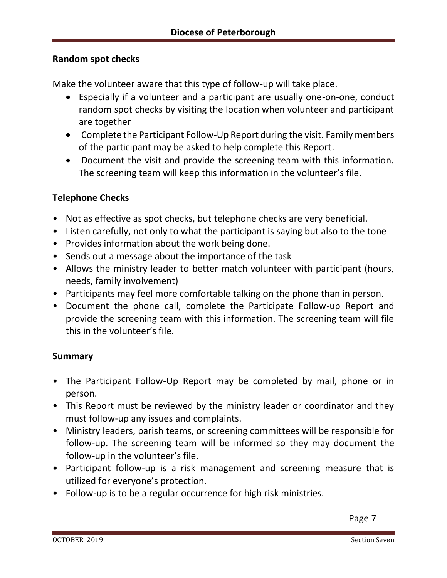#### **Random spot checks**

Make the volunteer aware that this type of follow-up will take place.

- Especially if a volunteer and a participant are usually one-on-one, conduct random spot checks by visiting the location when volunteer and participant are together
- Complete the Participant Follow-Up Report during the visit. Family members of the participant may be asked to help complete this Report.
- Document the visit and provide the screening team with this information. The screening team will keep this information in the volunteer's file.

#### **Telephone Checks**

- Not as effective as spot checks, but telephone checks are very beneficial.
- Listen carefully, not only to what the participant is saying but also to the tone
- Provides information about the work being done.
- Sends out a message about the importance of the task
- Allows the ministry leader to better match volunteer with participant (hours, needs, family involvement)
- Participants may feel more comfortable talking on the phone than in person.
- Document the phone call, complete the Participate Follow-up Report and provide the screening team with this information. The screening team will file this in the volunteer's file.

#### **Summary**

- The Participant Follow-Up Report may be completed by mail, phone or in person.
- This Report must be reviewed by the ministry leader or coordinator and they must follow-up any issues and complaints.
- Ministry leaders, parish teams, or screening committees will be responsible for follow-up. The screening team will be informed so they may document the follow-up in the volunteer's file.
- Participant follow-up is a risk management and screening measure that is utilized for everyone's protection.
- Follow-up is to be a regular occurrence for high risk ministries.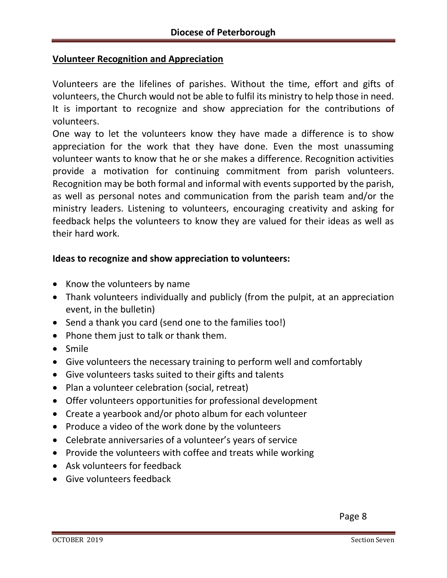# **Volunteer Recognition and Appreciation**

Volunteers are the lifelines of parishes. Without the time, effort and gifts of volunteers, the Church would not be able to fulfil its ministry to help those in need. It is important to recognize and show appreciation for the contributions of volunteers.

One way to let the volunteers know they have made a difference is to show appreciation for the work that they have done. Even the most unassuming volunteer wants to know that he or she makes a difference. Recognition activities provide a motivation for continuing commitment from parish volunteers. Recognition may be both formal and informal with events supported by the parish, as well as personal notes and communication from the parish team and/or the ministry leaders. Listening to volunteers, encouraging creativity and asking for feedback helps the volunteers to know they are valued for their ideas as well as their hard work.

#### **Ideas to recognize and show appreciation to volunteers:**

- Know the volunteers by name
- Thank volunteers individually and publicly (from the pulpit, at an appreciation event, in the bulletin)
- Send a thank you card (send one to the families too!)
- Phone them just to talk or thank them.
- Smile
- Give volunteers the necessary training to perform well and comfortably
- Give volunteers tasks suited to their gifts and talents
- Plan a volunteer celebration (social, retreat)
- Offer volunteers opportunities for professional development
- Create a yearbook and/or photo album for each volunteer
- Produce a video of the work done by the volunteers
- Celebrate anniversaries of a volunteer's years of service
- Provide the volunteers with coffee and treats while working
- Ask volunteers for feedback
- Give volunteers feedback

**Page 8** Page 8